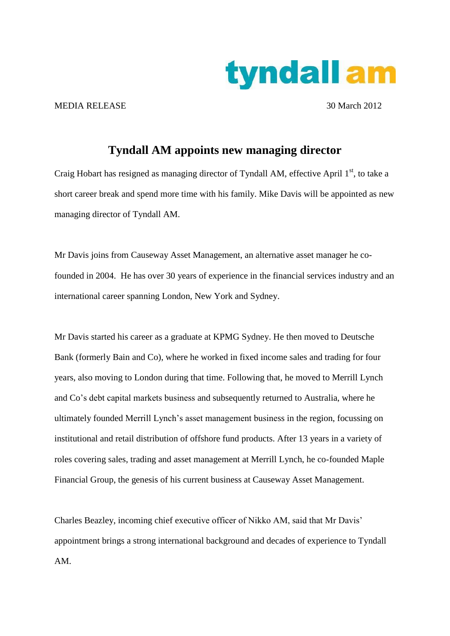

MEDIA RELEASE 30 March 2012

## **Tyndall AM appoints new managing director**

Craig Hobart has resigned as managing director of Tyndall AM, effective April 1<sup>st</sup>, to take a short career break and spend more time with his family. Mike Davis will be appointed as new managing director of Tyndall AM.

Mr Davis joins from Causeway Asset Management, an alternative asset manager he cofounded in 2004. He has over 30 years of experience in the financial services industry and an international career spanning London, New York and Sydney.

Mr Davis started his career as a graduate at KPMG Sydney. He then moved to Deutsche Bank (formerly Bain and Co), where he worked in fixed income sales and trading for four years, also moving to London during that time. Following that, he moved to Merrill Lynch and Co's debt capital markets business and subsequently returned to Australia, where he ultimately founded Merrill Lynch's asset management business in the region, focussing on institutional and retail distribution of offshore fund products. After 13 years in a variety of roles covering sales, trading and asset management at Merrill Lynch, he co-founded Maple Financial Group, the genesis of his current business at Causeway Asset Management.

Charles Beazley, incoming chief executive officer of Nikko AM, said that Mr Davis' appointment brings a strong international background and decades of experience to Tyndall AM.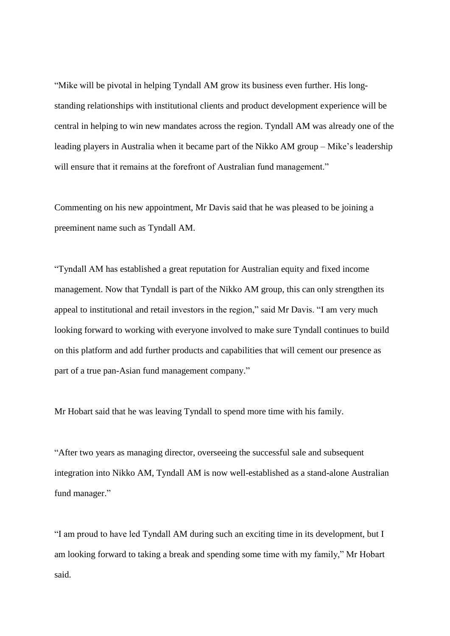"Mike will be pivotal in helping Tyndall AM grow its business even further. His longstanding relationships with institutional clients and product development experience will be central in helping to win new mandates across the region. Tyndall AM was already one of the leading players in Australia when it became part of the Nikko AM group – Mike's leadership will ensure that it remains at the forefront of Australian fund management."

Commenting on his new appointment, Mr Davis said that he was pleased to be joining a preeminent name such as Tyndall AM.

"Tyndall AM has established a great reputation for Australian equity and fixed income management. Now that Tyndall is part of the Nikko AM group, this can only strengthen its appeal to institutional and retail investors in the region," said Mr Davis. "I am very much looking forward to working with everyone involved to make sure Tyndall continues to build on this platform and add further products and capabilities that will cement our presence as part of a true pan-Asian fund management company."

Mr Hobart said that he was leaving Tyndall to spend more time with his family.

"After two years as managing director, overseeing the successful sale and subsequent integration into Nikko AM, Tyndall AM is now well-established as a stand-alone Australian fund manager."

"I am proud to have led Tyndall AM during such an exciting time in its development, but I am looking forward to taking a break and spending some time with my family," Mr Hobart said.